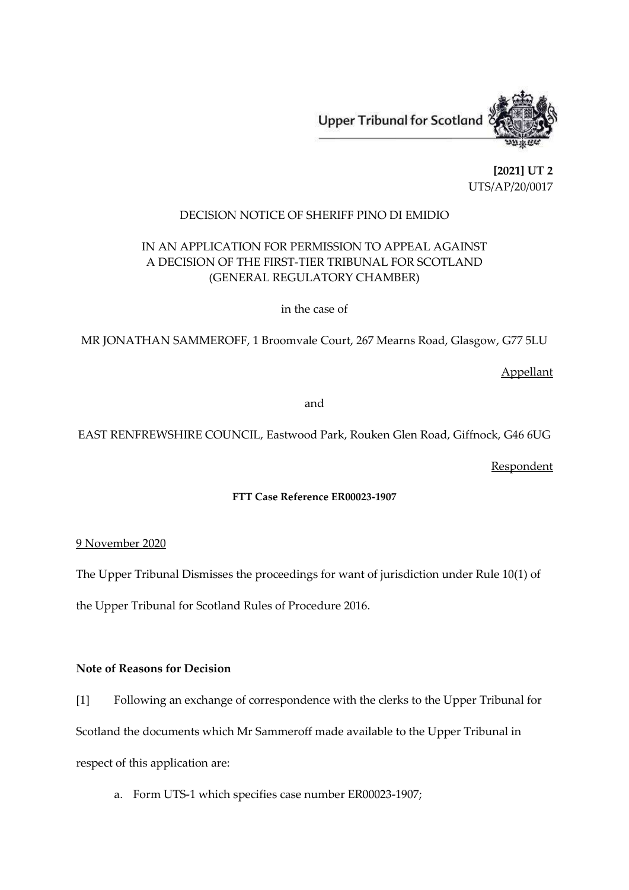

**[2021] UT 2** UTS/AP/20/0017

## DECISION NOTICE OF SHERIFF PINO DI EMIDIO

# IN AN APPLICATION FOR PERMISSION TO APPEAL AGAINST A DECISION OF THE FIRST-TIER TRIBUNAL FOR SCOTLAND (GENERAL REGULATORY CHAMBER)

in the case of

MR JONATHAN SAMMEROFF, 1 Broomvale Court, 267 Mearns Road, Glasgow, G77 5LU

Appellant

and

EAST RENFREWSHIRE COUNCIL, Eastwood Park, Rouken Glen Road, Giffnock, G46 6UG

**Respondent** 

#### **FTT Case Reference ER00023-1907**

#### 9 November 2020

The Upper Tribunal Dismisses the proceedings for want of jurisdiction under Rule 10(1) of

the Upper Tribunal for Scotland Rules of Procedure 2016.

## **Note of Reasons for Decision**

[1] Following an exchange of correspondence with the clerks to the Upper Tribunal for Scotland the documents which Mr Sammeroff made available to the Upper Tribunal in respect of this application are:

a. Form UTS-1 which specifies case number ER00023-1907;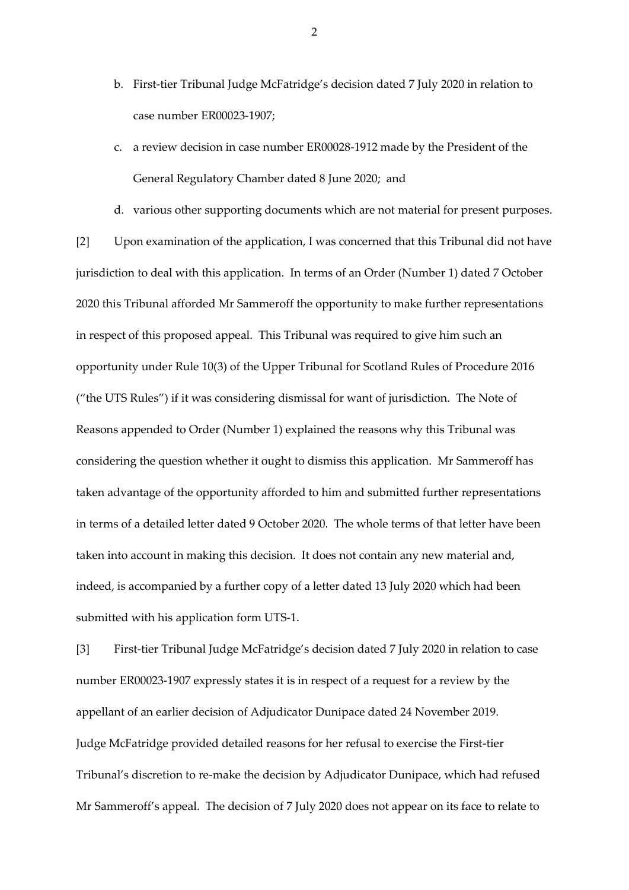- b. First-tier Tribunal Judge McFatridge's decision dated 7 July 2020 in relation to case number ER00023-1907;
- c. a review decision in case number ER00028-1912 made by the President of the General Regulatory Chamber dated 8 June 2020; and
- d. various other supporting documents which are not material for present purposes.

[2] Upon examination of the application, I was concerned that this Tribunal did not have jurisdiction to deal with this application. In terms of an Order (Number 1) dated 7 October 2020 this Tribunal afforded Mr Sammeroff the opportunity to make further representations in respect of this proposed appeal. This Tribunal was required to give him such an opportunity under Rule 10(3) of the Upper Tribunal for Scotland Rules of Procedure 2016 ("the UTS Rules") if it was considering dismissal for want of jurisdiction. The Note of Reasons appended to Order (Number 1) explained the reasons why this Tribunal was considering the question whether it ought to dismiss this application. Mr Sammeroff has taken advantage of the opportunity afforded to him and submitted further representations in terms of a detailed letter dated 9 October 2020. The whole terms of that letter have been taken into account in making this decision. It does not contain any new material and, indeed, is accompanied by a further copy of a letter dated 13 July 2020 which had been submitted with his application form UTS-1.

[3] First-tier Tribunal Judge McFatridge's decision dated 7 July 2020 in relation to case number ER00023-1907 expressly states it is in respect of a request for a review by the appellant of an earlier decision of Adjudicator Dunipace dated 24 November 2019. Judge McFatridge provided detailed reasons for her refusal to exercise the First-tier Tribunal's discretion to re-make the decision by Adjudicator Dunipace, which had refused Mr Sammeroff's appeal. The decision of 7 July 2020 does not appear on its face to relate to

2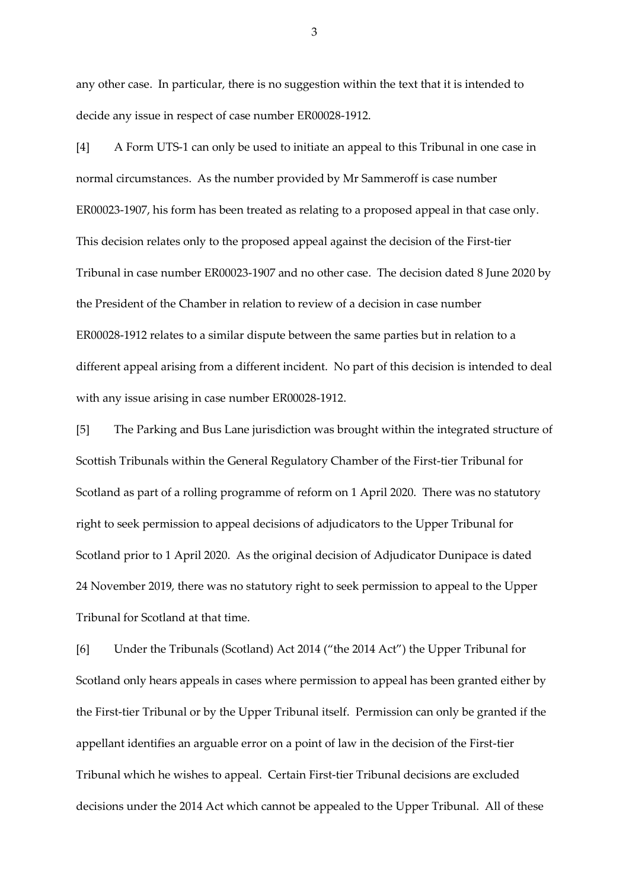any other case. In particular, there is no suggestion within the text that it is intended to decide any issue in respect of case number ER00028-1912.

[4] A Form UTS-1 can only be used to initiate an appeal to this Tribunal in one case in normal circumstances. As the number provided by Mr Sammeroff is case number ER00023-1907, his form has been treated as relating to a proposed appeal in that case only. This decision relates only to the proposed appeal against the decision of the First-tier Tribunal in case number ER00023-1907 and no other case. The decision dated 8 June 2020 by the President of the Chamber in relation to review of a decision in case number ER00028-1912 relates to a similar dispute between the same parties but in relation to a different appeal arising from a different incident. No part of this decision is intended to deal with any issue arising in case number ER00028-1912.

[5] The Parking and Bus Lane jurisdiction was brought within the integrated structure of Scottish Tribunals within the General Regulatory Chamber of the First-tier Tribunal for Scotland as part of a rolling programme of reform on 1 April 2020. There was no statutory right to seek permission to appeal decisions of adjudicators to the Upper Tribunal for Scotland prior to 1 April 2020. As the original decision of Adjudicator Dunipace is dated 24 November 2019, there was no statutory right to seek permission to appeal to the Upper Tribunal for Scotland at that time.

[6] Under the Tribunals (Scotland) Act 2014 ("the 2014 Act") the Upper Tribunal for Scotland only hears appeals in cases where permission to appeal has been granted either by the First-tier Tribunal or by the Upper Tribunal itself. Permission can only be granted if the appellant identifies an arguable error on a point of law in the decision of the First-tier Tribunal which he wishes to appeal. Certain First-tier Tribunal decisions are excluded decisions under the 2014 Act which cannot be appealed to the Upper Tribunal. All of these

3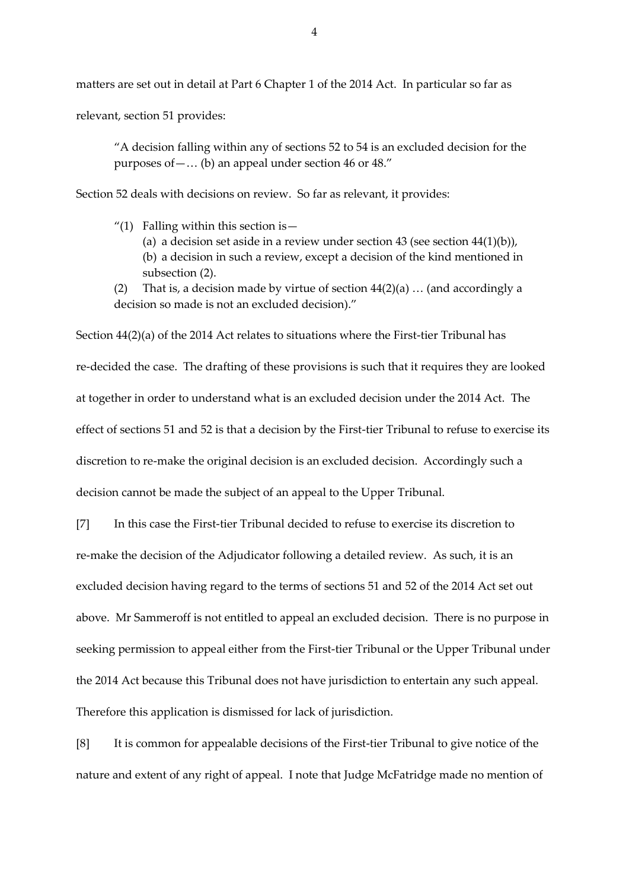matters are set out in detail at Part 6 Chapter 1 of the 2014 Act. In particular so far as

relevant, section 51 provides:

"A decision falling within any of sections 52 to 54 is an excluded decision for the purposes of—… (b) an appeal under section 46 or 48."

Section 52 deals with decisions on review. So far as relevant, it provides:

"(1) Falling within this section is  $-$ 

(a) a decision set aside in a review under section  $43$  (see section  $44(1)(b)$ ), (b) a decision in such a review, except a decision of the kind mentioned in subsection (2).

(2) That is, a decision made by virtue of section  $44(2)(a)$  ... (and accordingly a decision so made is not an excluded decision)."

Section 44(2)(a) of the 2014 Act relates to situations where the First-tier Tribunal has re-decided the case. The drafting of these provisions is such that it requires they are looked at together in order to understand what is an excluded decision under the 2014 Act. The effect of sections 51 and 52 is that a decision by the First-tier Tribunal to refuse to exercise its discretion to re-make the original decision is an excluded decision. Accordingly such a decision cannot be made the subject of an appeal to the Upper Tribunal.

[7] In this case the First-tier Tribunal decided to refuse to exercise its discretion to re-make the decision of the Adjudicator following a detailed review. As such, it is an excluded decision having regard to the terms of sections 51 and 52 of the 2014 Act set out above. Mr Sammeroff is not entitled to appeal an excluded decision. There is no purpose in seeking permission to appeal either from the First-tier Tribunal or the Upper Tribunal under the 2014 Act because this Tribunal does not have jurisdiction to entertain any such appeal. Therefore this application is dismissed for lack of jurisdiction.

[8] It is common for appealable decisions of the First-tier Tribunal to give notice of the nature and extent of any right of appeal. I note that Judge McFatridge made no mention of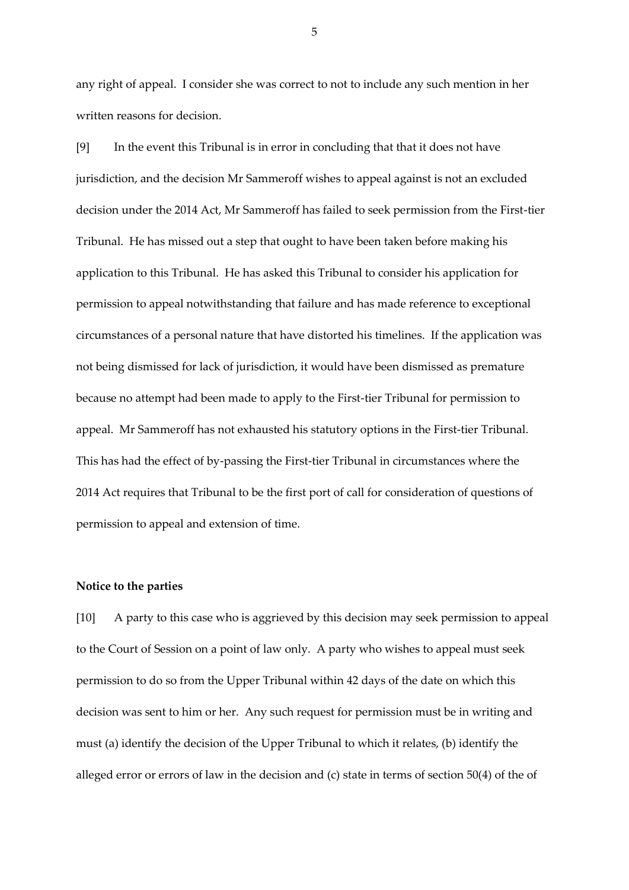any right of appeal. I consider she was correct to not to include any such mention in her written reasons for decision.

[9] In the event this Tribunal is in error in concluding that that it does not have jurisdiction, and the decision Mr Sammeroff wishes to appeal against is not an excluded decision under the 2014 Act, Mr Sammeroff has failed to seek permission from the First-tier Tribunal. He has missed out a step that ought to have been taken before making his application to this Tribunal. He has asked this Tribunal to consider his application for permission to appeal notwithstanding that failure and has made reference to exceptional circumstances of a personal nature that have distorted his timelines. If the application was not being dismissed for lack of jurisdiction, it would have been dismissed as premature because no attempt had been made to apply to the First-tier Tribunal for permission to appeal. Mr Sammeroff has not exhausted his statutory options in the First-tier Tribunal. This has had the effect of by-passing the First-tier Tribunal in circumstances where the 2014 Act requires that Tribunal to be the first port of call for consideration of questions of permission to appeal and extension of time.

#### **Notice to the parties**

[10] A party to this case who is aggrieved by this decision may seek permission to appeal to the Court of Session on a point of law only. A party who wishes to appeal must seek permission to do so from the Upper Tribunal within 42 days of the date on which this decision was sent to him or her. Any such request for permission must be in writing and must (a) identify the decision of the Upper Tribunal to which it relates, (b) identify the alleged error or errors of law in the decision and (c) state in terms of section 50(4) of the of

5